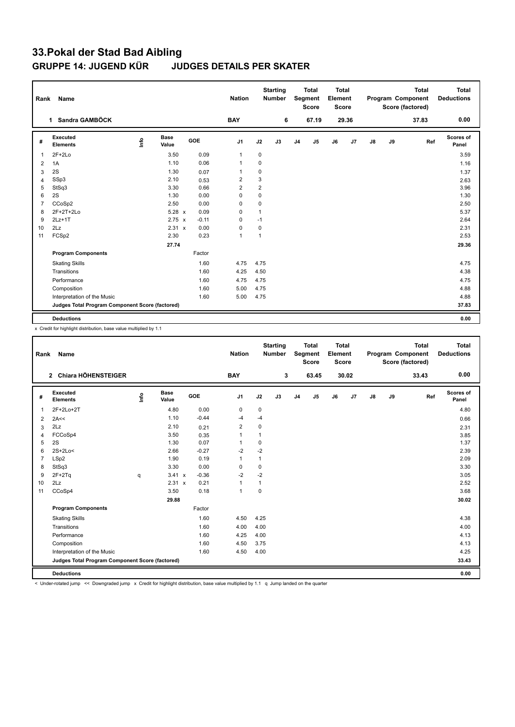## **33.Pokal der Stad Bad Aibling GRUPPE 14: JUGEND KÜR JUDGES DETAILS PER SKATER**

| Rank           | Name                                            |      |                      |         | <b>Nation</b>  |                | <b>Starting</b><br><b>Number</b> |                | <b>Total</b><br>Segment<br><b>Score</b> | Total<br>Element<br>Score |       |               |    | <b>Total</b><br>Program Component<br>Score (factored) | <b>Total</b><br><b>Deductions</b> |
|----------------|-------------------------------------------------|------|----------------------|---------|----------------|----------------|----------------------------------|----------------|-----------------------------------------|---------------------------|-------|---------------|----|-------------------------------------------------------|-----------------------------------|
|                | Sandra GAMBÖCK<br>$\mathbf 1$                   |      |                      |         | <b>BAY</b>     |                | 6                                |                | 67.19                                   |                           | 29.36 |               |    | 37.83                                                 | 0.00                              |
| #              | Executed<br><b>Elements</b>                     | Info | <b>Base</b><br>Value | GOE     | J <sub>1</sub> | J2             | J3                               | J <sub>4</sub> | J <sub>5</sub>                          | J6                        | J7    | $\mathsf{J}8$ | J9 | Ref                                                   | <b>Scores of</b><br>Panel         |
| $\mathbf{1}$   | $2F+2Lo$                                        |      | 3.50                 | 0.09    | $\overline{1}$ | $\mathbf 0$    |                                  |                |                                         |                           |       |               |    |                                                       | 3.59                              |
| 2              | 1A                                              |      | 1.10                 | 0.06    | $\mathbf 1$    | 0              |                                  |                |                                         |                           |       |               |    |                                                       | 1.16                              |
| 3              | 2S                                              |      | 1.30                 | 0.07    | $\overline{1}$ | 0              |                                  |                |                                         |                           |       |               |    |                                                       | 1.37                              |
| $\overline{4}$ | SSp3                                            |      | 2.10                 | 0.53    | $\overline{2}$ | 3              |                                  |                |                                         |                           |       |               |    |                                                       | 2.63                              |
| 5              | StSq3                                           |      | 3.30                 | 0.66    | 2              | $\overline{2}$ |                                  |                |                                         |                           |       |               |    |                                                       | 3.96                              |
| 6              | 2S                                              |      | 1.30                 | 0.00    | 0              | $\pmb{0}$      |                                  |                |                                         |                           |       |               |    |                                                       | 1.30                              |
| $\overline{7}$ | CCoSp2                                          |      | 2.50                 | 0.00    | 0              | $\mathbf 0$    |                                  |                |                                         |                           |       |               |    |                                                       | 2.50                              |
| 8              | 2F+2T+2Lo                                       |      | $5.28 \times$        | 0.09    | 0              | $\mathbf{1}$   |                                  |                |                                         |                           |       |               |    |                                                       | 5.37                              |
| 9              | $2Lz+1T$                                        |      | $2.75 \times$        | $-0.11$ | 0              | $-1$           |                                  |                |                                         |                           |       |               |    |                                                       | 2.64                              |
| 10             | 2Lz                                             |      | 2.31 x               | 0.00    | 0              | 0              |                                  |                |                                         |                           |       |               |    |                                                       | 2.31                              |
| 11             | FCSp2                                           |      | 2.30                 | 0.23    | $\overline{1}$ | $\mathbf{1}$   |                                  |                |                                         |                           |       |               |    |                                                       | 2.53                              |
|                |                                                 |      | 27.74                |         |                |                |                                  |                |                                         |                           |       |               |    |                                                       | 29.36                             |
|                | <b>Program Components</b>                       |      |                      | Factor  |                |                |                                  |                |                                         |                           |       |               |    |                                                       |                                   |
|                | <b>Skating Skills</b>                           |      |                      | 1.60    | 4.75           | 4.75           |                                  |                |                                         |                           |       |               |    |                                                       | 4.75                              |
|                | Transitions                                     |      |                      | 1.60    | 4.25           | 4.50           |                                  |                |                                         |                           |       |               |    |                                                       | 4.38                              |
|                | Performance                                     |      |                      | 1.60    | 4.75           | 4.75           |                                  |                |                                         |                           |       |               |    |                                                       | 4.75                              |
|                | Composition                                     |      |                      | 1.60    | 5.00           | 4.75           |                                  |                |                                         |                           |       |               |    |                                                       | 4.88                              |
|                | Interpretation of the Music                     |      |                      | 1.60    | 5.00           | 4.75           |                                  |                |                                         |                           |       |               |    |                                                       | 4.88                              |
|                | Judges Total Program Component Score (factored) |      |                      |         |                |                |                                  |                |                                         |                           |       |               |    |                                                       | 37.83                             |
|                | <b>Deductions</b>                               |      |                      |         |                |                |                                  |                |                                         |                           |       |               |    |                                                       | 0.00                              |

x Credit for highlight distribution, base value multiplied by 1.1

| Rank           | Name                                            |      |                      |         | <b>Nation</b>  |                | <b>Starting</b><br><b>Number</b> |                | <b>Total</b><br>Segment<br><b>Score</b> | <b>Total</b><br>Element<br><b>Score</b> |       |               |    | <b>Total</b><br>Program Component<br>Score (factored) | <b>Total</b><br><b>Deductions</b> |
|----------------|-------------------------------------------------|------|----------------------|---------|----------------|----------------|----------------------------------|----------------|-----------------------------------------|-----------------------------------------|-------|---------------|----|-------------------------------------------------------|-----------------------------------|
|                | 2 Chiara HÖHENSTEIGER                           |      |                      |         | <b>BAY</b>     |                | 3                                |                | 63.45                                   |                                         | 30.02 |               |    | 33.43                                                 | 0.00                              |
| #              | Executed<br><b>Elements</b>                     | lnfo | <b>Base</b><br>Value | GOE     | J <sub>1</sub> | J2             | J3                               | J <sub>4</sub> | J5                                      | J6                                      | J7    | $\mathsf{J}8$ | J9 | Ref                                                   | Scores of<br>Panel                |
| 1              | 2F+2Lo+2T                                       |      | 4.80                 | 0.00    | 0              | 0              |                                  |                |                                         |                                         |       |               |    |                                                       | 4.80                              |
| 2              | 2A<<                                            |      | 1.10                 | $-0.44$ | $-4$           | $-4$           |                                  |                |                                         |                                         |       |               |    |                                                       | 0.66                              |
| 3              | 2Lz                                             |      | 2.10                 | 0.21    | $\overline{2}$ | 0              |                                  |                |                                         |                                         |       |               |    |                                                       | 2.31                              |
| $\overline{4}$ | FCCoSp4                                         |      | 3.50                 | 0.35    | 1              | $\overline{1}$ |                                  |                |                                         |                                         |       |               |    |                                                       | 3.85                              |
| 5              | 2S                                              |      | 1.30                 | 0.07    | $\overline{1}$ | 0              |                                  |                |                                         |                                         |       |               |    |                                                       | 1.37                              |
| 6              | 2S+2Lo<                                         |      | 2.66                 | $-0.27$ | $-2$           | $-2$           |                                  |                |                                         |                                         |       |               |    |                                                       | 2.39                              |
| $\overline{7}$ | LSp2                                            |      | 1.90                 | 0.19    | 1              | $\mathbf 1$    |                                  |                |                                         |                                         |       |               |    |                                                       | 2.09                              |
| 8              | StSq3                                           |      | 3.30                 | 0.00    | $\mathbf 0$    | $\mathbf 0$    |                                  |                |                                         |                                         |       |               |    |                                                       | 3.30                              |
| 9              | $2F+2Tq$                                        | q    | $3.41 \times$        | $-0.36$ | $-2$           | $-2$           |                                  |                |                                         |                                         |       |               |    |                                                       | 3.05                              |
| 10             | 2Lz                                             |      | 2.31 x               | 0.21    | $\mathbf{1}$   | $\mathbf{1}$   |                                  |                |                                         |                                         |       |               |    |                                                       | 2.52                              |
| 11             | CCoSp4                                          |      | 3.50                 | 0.18    | $\mathbf{1}$   | $\Omega$       |                                  |                |                                         |                                         |       |               |    |                                                       | 3.68                              |
|                |                                                 |      | 29.88                |         |                |                |                                  |                |                                         |                                         |       |               |    |                                                       | 30.02                             |
|                | <b>Program Components</b>                       |      |                      | Factor  |                |                |                                  |                |                                         |                                         |       |               |    |                                                       |                                   |
|                | <b>Skating Skills</b>                           |      |                      | 1.60    | 4.50           | 4.25           |                                  |                |                                         |                                         |       |               |    |                                                       | 4.38                              |
|                | Transitions                                     |      |                      | 1.60    | 4.00           | 4.00           |                                  |                |                                         |                                         |       |               |    |                                                       | 4.00                              |
|                | Performance                                     |      |                      | 1.60    | 4.25           | 4.00           |                                  |                |                                         |                                         |       |               |    |                                                       | 4.13                              |
|                | Composition                                     |      |                      | 1.60    | 4.50           | 3.75           |                                  |                |                                         |                                         |       |               |    |                                                       | 4.13                              |
|                | Interpretation of the Music                     |      |                      | 1.60    | 4.50           | 4.00           |                                  |                |                                         |                                         |       |               |    |                                                       | 4.25                              |
|                | Judges Total Program Component Score (factored) |      |                      |         |                |                |                                  |                |                                         |                                         |       |               |    |                                                       | 33.43                             |
|                | <b>Deductions</b>                               |      |                      |         |                |                |                                  |                |                                         |                                         |       |               |    |                                                       | 0.00                              |

< Under-rotated jump << Downgraded jump x Credit for highlight distribution, base value multiplied by 1.1 q Jump landed on the quarter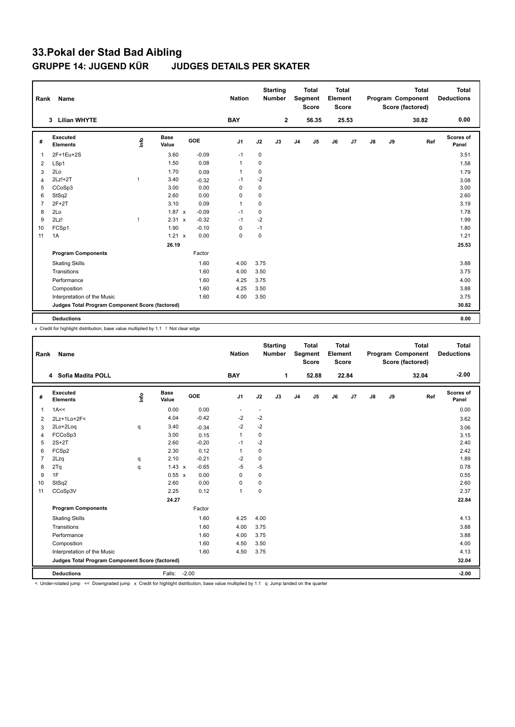## **33.Pokal der Stad Bad Aibling GRUPPE 14: JUGEND KÜR JUDGES DETAILS PER SKATER**

| Rank           | Name                                            |      |                      |            | <b>Nation</b>  |             | <b>Starting</b><br><b>Number</b> |                | <b>Total</b><br>Segment<br><b>Score</b> | <b>Total</b><br>Element<br><b>Score</b> |       |    |    | <b>Total</b><br>Program Component<br>Score (factored) | <b>Total</b><br><b>Deductions</b> |
|----------------|-------------------------------------------------|------|----------------------|------------|----------------|-------------|----------------------------------|----------------|-----------------------------------------|-----------------------------------------|-------|----|----|-------------------------------------------------------|-----------------------------------|
|                | <b>Lilian WHYTE</b><br>3                        |      |                      |            | <b>BAY</b>     |             | $\mathbf{2}$                     |                | 56.35                                   |                                         | 25.53 |    |    | 30.82                                                 | 0.00                              |
| #              | Executed<br><b>Elements</b>                     | lnfo | <b>Base</b><br>Value | <b>GOE</b> | J <sub>1</sub> | J2          | J3                               | J <sub>4</sub> | J <sub>5</sub>                          | J6                                      | J7    | J8 | J9 | Ref                                                   | Scores of<br>Panel                |
| 1              | 2F+1Eu+2S                                       |      | 3.60                 | $-0.09$    | $-1$           | $\pmb{0}$   |                                  |                |                                         |                                         |       |    |    |                                                       | 3.51                              |
| 2              | LSp1                                            |      | 1.50                 | 0.08       | $\mathbf 1$    | 0           |                                  |                |                                         |                                         |       |    |    |                                                       | 1.58                              |
| 3              | 2Lo                                             |      | 1.70                 | 0.09       | $\mathbf{1}$   | $\mathbf 0$ |                                  |                |                                         |                                         |       |    |    |                                                       | 1.79                              |
| $\overline{4}$ | $2Lz!+2T$                                       |      | 3.40                 | $-0.32$    | $-1$           | $-2$        |                                  |                |                                         |                                         |       |    |    |                                                       | 3.08                              |
| 5              | CCoSp3                                          |      | 3.00                 | 0.00       | $\Omega$       | 0           |                                  |                |                                         |                                         |       |    |    |                                                       | 3.00                              |
| 6              | StSq2                                           |      | 2.60                 | 0.00       | 0              | 0           |                                  |                |                                         |                                         |       |    |    |                                                       | 2.60                              |
| $\overline{7}$ | $2F+2T$                                         |      | 3.10                 | 0.09       | $\mathbf{1}$   | 0           |                                  |                |                                         |                                         |       |    |    |                                                       | 3.19                              |
| 8              | 2Lo                                             |      | $1.87 \times$        | $-0.09$    | $-1$           | $\mathbf 0$ |                                  |                |                                         |                                         |       |    |    |                                                       | 1.78                              |
| 9              | 2Lz!                                            |      | 2.31 x               | $-0.32$    | $-1$           | $-2$        |                                  |                |                                         |                                         |       |    |    |                                                       | 1.99                              |
| 10             | FCSp1                                           |      | 1.90                 | $-0.10$    | 0              | $-1$        |                                  |                |                                         |                                         |       |    |    |                                                       | 1.80                              |
| 11             | 1A                                              |      | $1.21 \times$        | 0.00       | $\mathbf 0$    | $\mathbf 0$ |                                  |                |                                         |                                         |       |    |    |                                                       | 1.21                              |
|                |                                                 |      | 26.19                |            |                |             |                                  |                |                                         |                                         |       |    |    |                                                       | 25.53                             |
|                | <b>Program Components</b>                       |      |                      | Factor     |                |             |                                  |                |                                         |                                         |       |    |    |                                                       |                                   |
|                | <b>Skating Skills</b>                           |      |                      | 1.60       | 4.00           | 3.75        |                                  |                |                                         |                                         |       |    |    |                                                       | 3.88                              |
|                | Transitions                                     |      |                      | 1.60       | 4.00           | 3.50        |                                  |                |                                         |                                         |       |    |    |                                                       | 3.75                              |
|                | Performance                                     |      |                      | 1.60       | 4.25           | 3.75        |                                  |                |                                         |                                         |       |    |    |                                                       | 4.00                              |
|                | Composition                                     |      |                      | 1.60       | 4.25           | 3.50        |                                  |                |                                         |                                         |       |    |    |                                                       | 3.88                              |
|                | Interpretation of the Music                     |      |                      | 1.60       | 4.00           | 3.50        |                                  |                |                                         |                                         |       |    |    |                                                       | 3.75                              |
|                | Judges Total Program Component Score (factored) |      |                      |            |                |             |                                  |                |                                         |                                         |       |    |    |                                                       | 30.82                             |
|                | <b>Deductions</b>                               |      |                      |            |                |             |                                  |                |                                         |                                         |       |    |    |                                                       | 0.00                              |

x Credit for highlight distribution, base value multiplied by 1.1 ! Not clear edge

| Rank           | Name                                            |      |                      |         | <b>Nation</b>  |                | <b>Starting</b><br><b>Number</b> |                | <b>Total</b><br>Segment<br><b>Score</b> | <b>Total</b><br>Element<br><b>Score</b> |       |               |    | <b>Total</b><br>Program Component<br>Score (factored) | <b>Total</b><br><b>Deductions</b> |
|----------------|-------------------------------------------------|------|----------------------|---------|----------------|----------------|----------------------------------|----------------|-----------------------------------------|-----------------------------------------|-------|---------------|----|-------------------------------------------------------|-----------------------------------|
|                | 4 Sofia Madita POLL                             |      |                      |         | <b>BAY</b>     |                | 1                                |                | 52.88                                   |                                         | 22.84 |               |    | 32.04                                                 | $-2.00$                           |
| #              | Executed<br><b>Elements</b>                     | lnfo | <b>Base</b><br>Value | GOE     | J1             | J2             | J3                               | J <sub>4</sub> | J5                                      | J6                                      | J7    | $\mathsf{J}8$ | J9 | Ref                                                   | Scores of<br>Panel                |
| $\overline{1}$ | 1A<<                                            |      | 0.00                 | 0.00    | $\blacksquare$ | $\blacksquare$ |                                  |                |                                         |                                         |       |               |    |                                                       | 0.00                              |
| 2              | 2Lz+1Lo+2F<                                     |      | 4.04                 | $-0.42$ | $-2$           | $-2$           |                                  |                |                                         |                                         |       |               |    |                                                       | 3.62                              |
| 3              | 2Lo+2Loq                                        | q    | 3.40                 | $-0.34$ | $-2$           | $-2$           |                                  |                |                                         |                                         |       |               |    |                                                       | 3.06                              |
| $\overline{4}$ | FCCoSp3                                         |      | 3.00                 | 0.15    | $\mathbf{1}$   | 0              |                                  |                |                                         |                                         |       |               |    |                                                       | 3.15                              |
| 5              | $2S+2T$                                         |      | 2.60                 | $-0.20$ | $-1$           | $-2$           |                                  |                |                                         |                                         |       |               |    |                                                       | 2.40                              |
| 6              | FCSp2                                           |      | 2.30                 | 0.12    | 1              | $\mathbf 0$    |                                  |                |                                         |                                         |       |               |    |                                                       | 2.42                              |
| $\overline{7}$ | 2Lzq                                            | q    | 2.10                 | $-0.21$ | $-2$           | $\mathbf 0$    |                                  |                |                                         |                                         |       |               |    |                                                       | 1.89                              |
| 8              | 2Tq                                             | q    | $1.43 \times$        | $-0.65$ | -5             | $-5$           |                                  |                |                                         |                                         |       |               |    |                                                       | 0.78                              |
| 9              | 1F                                              |      | $0.55 \times$        | 0.00    | $\Omega$       | $\mathbf 0$    |                                  |                |                                         |                                         |       |               |    |                                                       | 0.55                              |
| 10             | StSq2                                           |      | 2.60                 | 0.00    | 0              | $\mathbf 0$    |                                  |                |                                         |                                         |       |               |    |                                                       | 2.60                              |
| 11             | CCoSp3V                                         |      | 2.25                 | 0.12    | $\mathbf{1}$   | $\mathbf 0$    |                                  |                |                                         |                                         |       |               |    |                                                       | 2.37                              |
|                |                                                 |      | 24.27                |         |                |                |                                  |                |                                         |                                         |       |               |    |                                                       | 22.84                             |
|                | <b>Program Components</b>                       |      |                      | Factor  |                |                |                                  |                |                                         |                                         |       |               |    |                                                       |                                   |
|                | <b>Skating Skills</b>                           |      |                      | 1.60    | 4.25           | 4.00           |                                  |                |                                         |                                         |       |               |    |                                                       | 4.13                              |
|                | Transitions                                     |      |                      | 1.60    | 4.00           | 3.75           |                                  |                |                                         |                                         |       |               |    |                                                       | 3.88                              |
|                | Performance                                     |      |                      | 1.60    | 4.00           | 3.75           |                                  |                |                                         |                                         |       |               |    |                                                       | 3.88                              |
|                | Composition                                     |      |                      | 1.60    | 4.50           | 3.50           |                                  |                |                                         |                                         |       |               |    |                                                       | 4.00                              |
|                | Interpretation of the Music                     |      |                      | 1.60    | 4.50           | 3.75           |                                  |                |                                         |                                         |       |               |    |                                                       | 4.13                              |
|                | Judges Total Program Component Score (factored) |      |                      |         |                |                |                                  |                |                                         |                                         |       |               |    |                                                       | 32.04                             |
|                | <b>Deductions</b>                               |      | Falls: -2.00         |         |                |                |                                  |                |                                         |                                         |       |               |    |                                                       | $-2.00$                           |

< Under-rotated jump << Downgraded jump x Credit for highlight distribution, base value multiplied by 1.1 q Jump landed on the quarter